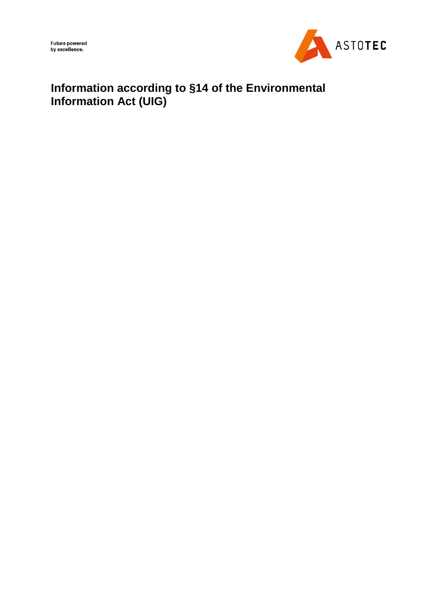

# **Information according to §14 of the Environmental Information Act (UIG)**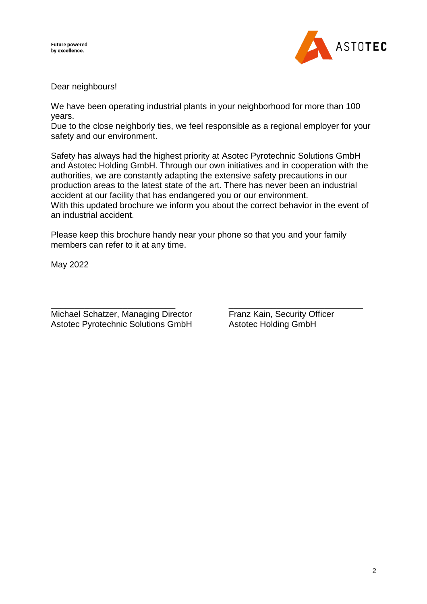

Dear neighbours!

We have been operating industrial plants in your neighborhood for more than 100 years.

Due to the close neighborly ties, we feel responsible as a regional employer for your safety and our environment.

Safety has always had the highest priority at Asotec Pyrotechnic Solutions GmbH and Astotec Holding GmbH. Through our own initiatives and in cooperation with the authorities, we are constantly adapting the extensive safety precautions in our production areas to the latest state of the art. There has never been an industrial accident at our facility that has endangered you or our environment. With this updated brochure we inform you about the correct behavior in the event of an industrial accident.

Please keep this brochure handy near your phone so that you and your family members can refer to it at any time.

May 2022

\_\_\_\_\_\_\_\_\_\_\_\_\_\_\_\_\_\_\_\_\_\_\_\_\_\_ \_\_\_\_\_\_\_\_\_\_\_\_\_\_\_\_\_\_\_\_\_\_\_\_\_\_\_\_ Michael Schatzer, Managing Director Franz Kain, Security Officer Astotec Pyrotechnic Solutions GmbH Astotec Holding GmbH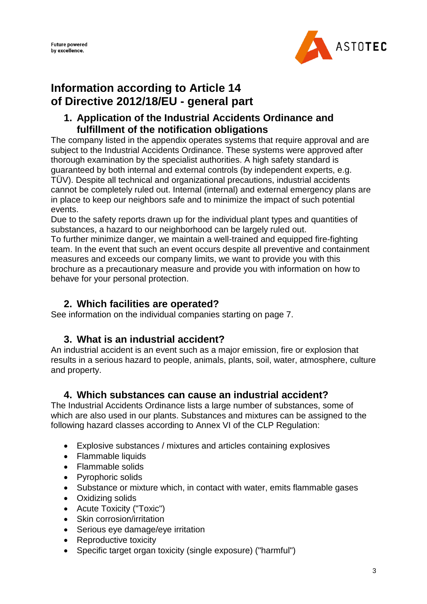

# **Information according to Article 14 of Directive 2012/18/EU - general part**

### **1. Application of the Industrial Accidents Ordinance and fulfillment of the notification obligations**

The company listed in the appendix operates systems that require approval and are subject to the Industrial Accidents Ordinance. These systems were approved after thorough examination by the specialist authorities. A high safety standard is guaranteed by both internal and external controls (by independent experts, e.g. TÜV). Despite all technical and organizational precautions, industrial accidents cannot be completely ruled out. Internal (internal) and external emergency plans are in place to keep our neighbors safe and to minimize the impact of such potential events.

Due to the safety reports drawn up for the individual plant types and quantities of substances, a hazard to our neighborhood can be largely ruled out.

To further minimize danger, we maintain a well-trained and equipped fire-fighting team. In the event that such an event occurs despite all preventive and containment measures and exceeds our company limits, we want to provide you with this brochure as a precautionary measure and provide you with information on how to behave for your personal protection.

# **2. Which facilities are operated?**

See information on the individual companies starting on page 7.

# **3. What is an industrial accident?**

An industrial accident is an event such as a major emission, fire or explosion that results in a serious hazard to people, animals, plants, soil, water, atmosphere, culture and property.

## **4. Which substances can cause an industrial accident?**

The Industrial Accidents Ordinance lists a large number of substances, some of which are also used in our plants. Substances and mixtures can be assigned to the following hazard classes according to Annex VI of the CLP Regulation:

- Explosive substances / mixtures and articles containing explosives
- Flammable liquids
- Flammable solids
- Pyrophoric solids
- Substance or mixture which, in contact with water, emits flammable gases
- Oxidizing solids
- Acute Toxicity ("Toxic")
- Skin corrosion/irritation
- Serious eye damage/eye irritation
- Reproductive toxicity
- Specific target organ toxicity (single exposure) ("harmful")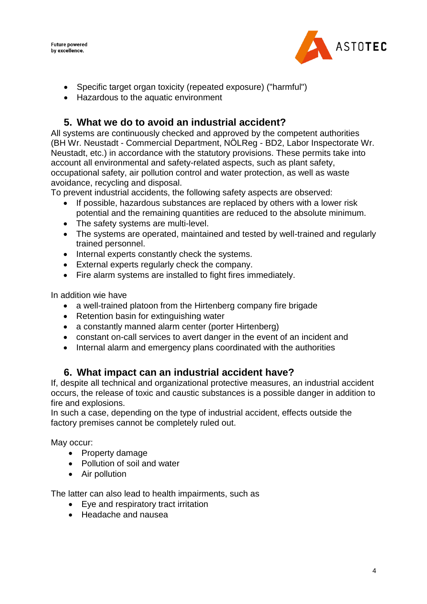

- Specific target organ toxicity (repeated exposure) ("harmful")
- Hazardous to the aquatic environment

# **5. What we do to avoid an industrial accident?**

All systems are continuously checked and approved by the competent authorities (BH Wr. Neustadt - Commercial Department, NÖLReg - BD2, Labor Inspectorate Wr. Neustadt, etc.) in accordance with the statutory provisions. These permits take into account all environmental and safety-related aspects, such as plant safety, occupational safety, air pollution control and water protection, as well as waste avoidance, recycling and disposal.

To prevent industrial accidents, the following safety aspects are observed:

- If possible, hazardous substances are replaced by others with a lower risk potential and the remaining quantities are reduced to the absolute minimum.
- The safety systems are multi-level.
- The systems are operated, maintained and tested by well-trained and regularly trained personnel.
- Internal experts constantly check the systems.
- External experts regularly check the company.
- Fire alarm systems are installed to fight fires immediately.

In addition wie have

- a well-trained platoon from the Hirtenberg company fire brigade
- Retention basin for extinguishing water
- a constantly manned alarm center (porter Hirtenberg)
- constant on-call services to avert danger in the event of an incident and
- Internal alarm and emergency plans coordinated with the authorities

### **6. What impact can an industrial accident have?**

If, despite all technical and organizational protective measures, an industrial accident occurs, the release of toxic and caustic substances is a possible danger in addition to fire and explosions.

In such a case, depending on the type of industrial accident, effects outside the factory premises cannot be completely ruled out.

May occur:

- Property damage
- Pollution of soil and water
- Air pollution

The latter can also lead to health impairments, such as

- Eye and respiratory tract irritation
- Headache and nausea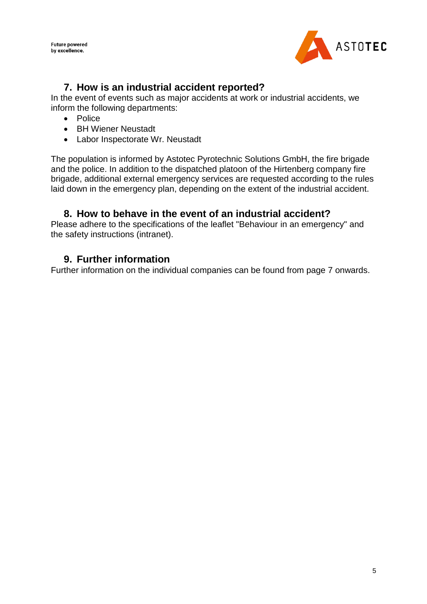

## **7. How is an industrial accident reported?**

In the event of events such as major accidents at work or industrial accidents, we inform the following departments:

- Police
- BH Wiener Neustadt
- Labor Inspectorate Wr. Neustadt

The population is informed by Astotec Pyrotechnic Solutions GmbH, the fire brigade and the police. In addition to the dispatched platoon of the Hirtenberg company fire brigade, additional external emergency services are requested according to the rules laid down in the emergency plan, depending on the extent of the industrial accident.

### **8. How to behave in the event of an industrial accident?**

Please adhere to the specifications of the leaflet "Behaviour in an emergency" and the safety instructions (intranet).

### **9. Further information**

Further information on the individual companies can be found from page 7 onwards.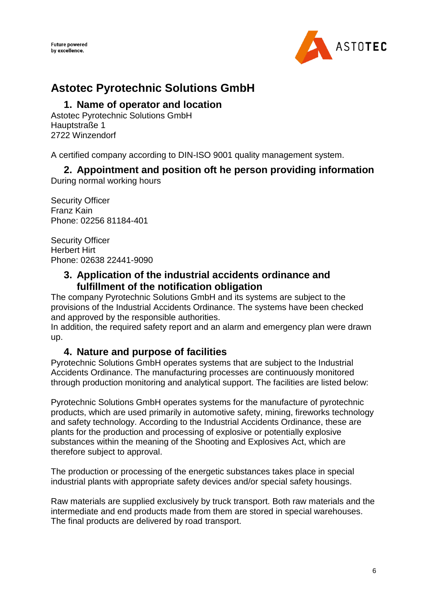

# **Astotec Pyrotechnic Solutions GmbH**

### **1. Name of operator and location**

Astotec Pyrotechnic Solutions GmbH Hauptstraße 1 2722 Winzendorf

A certified company according to DIN-ISO 9001 quality management system.

# **2. Appointment and position oft he person providing information**

During normal working hours

Security Officer Franz Kain Phone: 02256 81184-401

Security Officer Herbert Hirt Phone: 02638 22441-9090

### **3. Application of the industrial accidents ordinance and fulfillment of the notification obligation**

The company Pyrotechnic Solutions GmbH and its systems are subject to the provisions of the Industrial Accidents Ordinance. The systems have been checked and approved by the responsible authorities.

In addition, the required safety report and an alarm and emergency plan were drawn up.

## **4. Nature and purpose of facilities**

Pyrotechnic Solutions GmbH operates systems that are subject to the Industrial Accidents Ordinance. The manufacturing processes are continuously monitored through production monitoring and analytical support. The facilities are listed below:

Pyrotechnic Solutions GmbH operates systems for the manufacture of pyrotechnic products, which are used primarily in automotive safety, mining, fireworks technology and safety technology. According to the Industrial Accidents Ordinance, these are plants for the production and processing of explosive or potentially explosive substances within the meaning of the Shooting and Explosives Act, which are therefore subject to approval.

The production or processing of the energetic substances takes place in special industrial plants with appropriate safety devices and/or special safety housings.

Raw materials are supplied exclusively by truck transport. Both raw materials and the intermediate and end products made from them are stored in special warehouses. The final products are delivered by road transport.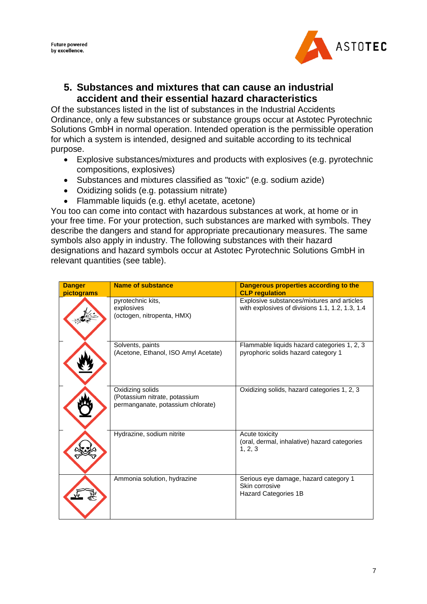

### **5. Substances and mixtures that can cause an industrial accident and their essential hazard characteristics**

Of the substances listed in the list of substances in the Industrial Accidents Ordinance, only a few substances or substance groups occur at Astotec Pyrotechnic Solutions GmbH in normal operation. Intended operation is the permissible operation for which a system is intended, designed and suitable according to its technical purpose.

- Explosive substances/mixtures and products with explosives (e.g. pyrotechnic compositions, explosives)
- Substances and mixtures classified as "toxic" (e.g. sodium azide)
- Oxidizing solids (e.g. potassium nitrate)
- Flammable liquids (e.g. ethyl acetate, acetone)

You too can come into contact with hazardous substances at work, at home or in your free time. For your protection, such substances are marked with symbols. They describe the dangers and stand for appropriate precautionary measures. The same symbols also apply in industry. The following substances with their hazard designations and hazard symbols occur at Astotec Pyrotechnic Solutions GmbH in relevant quantities (see table).

| <b>Danger</b><br>pictograms | <b>Name of substance</b>                                                               | Dangerous properties according to the<br><b>CLP regulation</b>                                |
|-----------------------------|----------------------------------------------------------------------------------------|-----------------------------------------------------------------------------------------------|
|                             | pyrotechnic kits.<br>explosives<br>(octogen, nitropenta, HMX)                          | Explosive substances/mixtures and articles<br>with explosives of divisions 1.1, 1.2, 1.3, 1.4 |
|                             | Solvents, paints<br>(Acetone, Ethanol, ISO Amyl Acetate)                               | Flammable liquids hazard categories 1, 2, 3<br>pyrophoric solids hazard category 1            |
|                             | Oxidizing solids<br>(Potassium nitrate, potassium<br>permanganate, potassium chlorate) | Oxidizing solids, hazard categories 1, 2, 3                                                   |
|                             | Hydrazine, sodium nitrite                                                              | Acute toxicity<br>(oral, dermal, inhalative) hazard categories<br>1, 2, 3                     |
|                             | Ammonia solution, hydrazine                                                            | Serious eye damage, hazard category 1<br>Skin corrosive<br>Hazard Categories 1B               |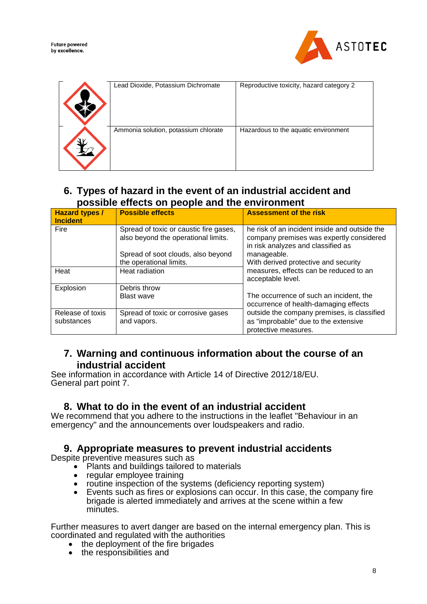

| Lead Dioxide, Potassium Dichromate   | Reproductive toxicity, hazard category 2 |
|--------------------------------------|------------------------------------------|
| Ammonia solution, potassium chlorate | Hazardous to the aquatic environment     |

# **6. Types of hazard in the event of an industrial accident and possible effects on people and the environment**

| <b>Hazard types /</b><br>Incident | <b>Possible effects</b>                                                       | <b>Assessment of the risk</b>                                                                                                   |
|-----------------------------------|-------------------------------------------------------------------------------|---------------------------------------------------------------------------------------------------------------------------------|
| Fire                              | Spread of toxic or caustic fire gases,<br>also beyond the operational limits. | he risk of an incident inside and outside the<br>company premises was expertly considered<br>in risk analyzes and classified as |
|                                   | Spread of soot clouds, also beyond                                            | manageable.                                                                                                                     |
|                                   | the operational limits.                                                       | With derived protective and security                                                                                            |
| Heat                              | Heat radiation                                                                | measures, effects can be reduced to an<br>acceptable level.                                                                     |
| Explosion                         | Debris throw                                                                  |                                                                                                                                 |
|                                   | <b>Blast wave</b>                                                             | The occurrence of such an incident, the                                                                                         |
|                                   |                                                                               | occurrence of health-damaging effects                                                                                           |
| Release of toxis                  | Spread of toxic or corrosive gases                                            | outside the company premises, is classified                                                                                     |
| substances                        | and vapors.                                                                   | as "improbable" due to the extensive                                                                                            |
|                                   |                                                                               | protective measures.                                                                                                            |

### **7. Warning and continuous information about the course of an industrial accident**

See information in accordance with Article 14 of Directive 2012/18/EU. General part point 7.

### **8. What to do in the event of an industrial accident**

We recommend that you adhere to the instructions in the leaflet "Behaviour in an emergency" and the announcements over loudspeakers and radio.

### **9. Appropriate measures to prevent industrial accidents**

Despite preventive measures such as

- Plants and buildings tailored to materials
- regular employee training
- routine inspection of the systems (deficiency reporting system)
- $\bullet$  Events such as fires or explosions can occur. In this case, the company fire brigade is alerted immediately and arrives at the scene within a few minutes.

Further measures to avert danger are based on the internal emergency plan. This is coordinated and regulated with the authorities

- the deployment of the fire brigades
- the responsibilities and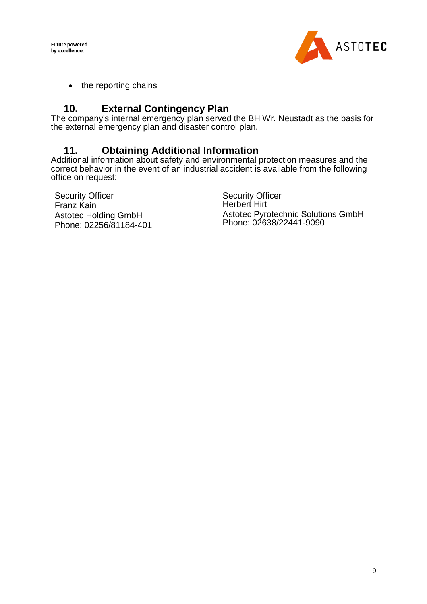

• the reporting chains

# **10. External Contingency Plan**

The company's internal emergency plan served the BH Wr. Neustadt as the basis for the external emergency plan and disaster control plan.

# **11. Obtaining Additional Information**

Additional information about safety and environmental protection measures and the correct behavior in the event of an industrial accident is available from the following office on request:

Security Officer Franz Kain Astotec Holding GmbH Phone: 02256/81184-401 Security Officer Herbert Hirt Astotec Pyrotechnic Solutions GmbH Phone: 02638/22441-9090